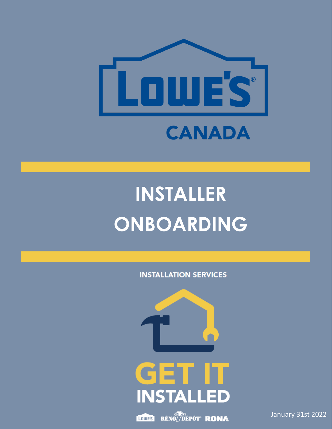

# **INSTALLER ONBOARDING**

**INSTALLATION SERVICES** 



January 31st 2022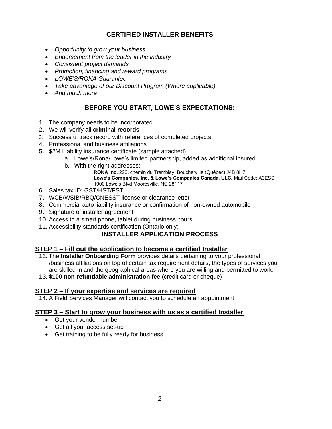# **CERTIFIED INSTALLER BENEFITS**

- *Opportunity to grow your business*
- *Endorsement from the leader in the industry*
- *Consistent project demands*
- *Promotion, financing and reward programs*
- *LOWE'S/RONA Guarantee*
- *Take advantage of our Discount Program (Where applicable)*
- *And much more*

# **BEFORE YOU START, LOWE'S EXPECTATIONS:**

- 1. The company needs to be incorporated
- 2. We will verify all **criminal records**
- 3. Successful track record with references of completed projects
- 4. Professional and business affiliations
- 5. \$2M Liability insurance certificate (sample attached)
	- a. Lowe's/Rona/Lowe's limited partnership, added as additional insured
		- b. With the right addresses:
			- i. **RONA inc.** 220, chemin du Tremblay, Boucherville (Québec) J4B 8H7
			- ii. **Lowe's Companies, Inc. & Lowe's Companies Canada, ULC,** Mail Code: A3ESS, 1000 Lowe's Blvd Mooresville, NC 28117
- 6. Sales tax ID: GST/HST/PST
- 7. WCB/WSIB/RBQ/CNESST license or clearance letter
- 8. Commercial auto liability insurance or confirmation of non-owned automobile
- 9. Signature of installer agreement
- 10. Access to a smart phone, tablet during business hours
- 11. Accessibility standards certification (Ontario only)

# **INSTALLER APPLICATION PROCESS**

# **STEP 1 – Fill out the application to become a certified Installer**

- 12. The **Installer Onboarding Form** provides details pertaining to your professional /business affiliations on top of certain tax requirement details, the types of services you are skilled in and the geographical areas where you are willing and permitted to work.
- 13. **\$100 non-refundable administration fee** (credit card or cheque)

# **STEP 2 – If your expertise and services are required**

14. A Field Services Manager will contact you to schedule an appointment

# **STEP 3 – Start to grow your business with us as a certified Installer**

- Get your vendor number
- Get all your access set-up
- Get training to be fully ready for business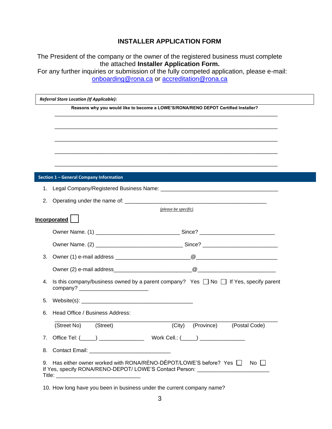# **INSTALLER APPLICATION FORM**

The President of the company or the owner of the registered business must complete the attached **Installer Application Form.**

For any further inquiries or submission of the fully competed application, please e-mail: [onboarding@rona.ca](mailto:onboarding@rona.ca) or [accreditation@rona.ca](mailto:accreditation@rona.ca)

|    | Reasons why you would like to become a LOWE'S/RONA/RENO DEPOT Certified Installer?              |               |
|----|-------------------------------------------------------------------------------------------------|---------------|
|    |                                                                                                 |               |
|    |                                                                                                 |               |
|    |                                                                                                 |               |
|    |                                                                                                 |               |
|    |                                                                                                 |               |
|    | Section 1 - General Company Information                                                         |               |
|    |                                                                                                 |               |
| 1. |                                                                                                 |               |
| 2. |                                                                                                 |               |
|    | (please be specific).                                                                           |               |
|    | <b>Incorporated</b>                                                                             |               |
|    |                                                                                                 |               |
|    |                                                                                                 |               |
| 3. |                                                                                                 |               |
|    |                                                                                                 |               |
| 4. | Is this company/business owned by a parent company? Yes $\Box$ No $\Box$ If Yes, specify parent |               |
| 5. |                                                                                                 |               |
| 6. | Head Office / Business Address:                                                                 |               |
|    | (Street No)<br>(Street)<br>(City)<br>(Province)                                                 | (Postal Code) |
|    | 7. Office Tel: (_____) _______________<br>Work Cell.: $(\_\_\_\_)$                              |               |
|    |                                                                                                 |               |

10. How long have you been in business under the current company name?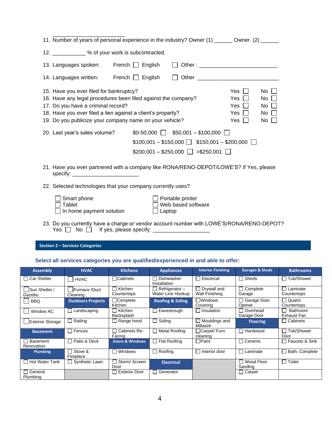|                 | 16. Have any legal procedures been filed against the company?<br>17. Do you have a criminal record?                    |                                                                                                                                                                                                                                                                                                                |                                                             |                                                    | Yes $\Box$<br>$Yes$        | No<br>No I |                  |
|-----------------|------------------------------------------------------------------------------------------------------------------------|----------------------------------------------------------------------------------------------------------------------------------------------------------------------------------------------------------------------------------------------------------------------------------------------------------------|-------------------------------------------------------------|----------------------------------------------------|----------------------------|------------|------------------|
|                 | 18. Have you ever filed a lien against a client's property?<br>19. Do you publicize your company name on your vehicle? |                                                                                                                                                                                                                                                                                                                |                                                             |                                                    | Yes $\Box$<br>Yes $\Box$   | No  <br>No |                  |
|                 |                                                                                                                        |                                                                                                                                                                                                                                                                                                                |                                                             |                                                    |                            |            |                  |
|                 | 20. Last year's sales volume?                                                                                          |                                                                                                                                                                                                                                                                                                                | $$0-50,000$ $\Box$ \$50,001 - \$100,000 $\Box$              | $$100,001 - $150,000$ $$150,001 - $200,000$ $\Box$ |                            |            |                  |
|                 |                                                                                                                        |                                                                                                                                                                                                                                                                                                                | $$200,001 - $250,000$ $\Box$ >\$250,001 $\Box$              |                                                    |                            |            |                  |
|                 | 21. Have you ever partnered with a company like RONA/RENO-DEPOT/LOWE'S? If Yes, please                                 |                                                                                                                                                                                                                                                                                                                |                                                             |                                                    |                            |            |                  |
|                 |                                                                                                                        |                                                                                                                                                                                                                                                                                                                | 22. Selected technologies that your company currently uses? |                                                    |                            |            |                  |
|                 |                                                                                                                        |                                                                                                                                                                                                                                                                                                                |                                                             |                                                    |                            |            |                  |
|                 | Smart phone<br>Tablet<br>In home payment solution                                                                      |                                                                                                                                                                                                                                                                                                                | Portable printer<br>Web based software<br>Laptop            |                                                    |                            |            |                  |
|                 | 23. Do you currently have a charge or vendor account number with LOWE'S/RONA/RENO-DEPOT?<br>Yes    No                  | If yes, please specify: $\frac{1}{2}$ $\frac{1}{2}$ $\frac{1}{2}$ $\frac{1}{2}$ $\frac{1}{2}$ $\frac{1}{2}$ $\frac{1}{2}$ $\frac{1}{2}$ $\frac{1}{2}$ $\frac{1}{2}$ $\frac{1}{2}$ $\frac{1}{2}$ $\frac{1}{2}$ $\frac{1}{2}$ $\frac{1}{2}$ $\frac{1}{2}$ $\frac{1}{2}$ $\frac{1}{2}$ $\frac{1}{2}$ $\frac{1}{2$ |                                                             |                                                    |                            |            |                  |
|                 | <b>Section 2 - Services Categories</b>                                                                                 |                                                                                                                                                                                                                                                                                                                |                                                             |                                                    |                            |            |                  |
|                 |                                                                                                                        |                                                                                                                                                                                                                                                                                                                |                                                             |                                                    |                            |            |                  |
| <b>Assembly</b> | Select all services categories you are qualified/experienced in and able to offer:<br><b>HVAC</b>                      | <b>Kitchens</b>                                                                                                                                                                                                                                                                                                | <b>Appliances</b>                                           | <b>Interior Finishing</b>                          | <b>Garages &amp; Sheds</b> |            | <b>Bathrooms</b> |

\_\_\_\_\_\_\_\_\_\_\_\_\_\_\_\_\_\_\_\_\_\_\_\_

| <b>Assembly</b>                    | HVAL                             | Kitchens                   | Appliances                                   | <b>Interior Finishing</b>               | Garages & Sheds         | <b>Bathrooms</b>                  |
|------------------------------------|----------------------------------|----------------------------|----------------------------------------------|-----------------------------------------|-------------------------|-----------------------------------|
| <b>Car Shelter</b><br>$\mathsf{L}$ | <b>HVAC</b>                      | $\sqcap$ Cabinets          | Dishwasher<br>$\blacksquare$<br>Installation | Electrical                              | Sheds                   | Tub/Shower<br>$\mathbf{I}$        |
| <b>Sun Shelter /</b><br>Gazebo     | <b>Furnace</b> /Duct<br>Cleaning | Kitchen<br>Countertops     | $\Box$ Refrigerator $-$<br>Water Line Hookup | Drywall and<br>Wall Finishing           | Complete<br>Garage      | Laminate<br>- 1<br>Countertops    |
| <b>BBQ</b>                         | <b>Outdoors Projects</b>         | □Complete<br>Kitchen       | <b>Roofing &amp; Siding</b>                  | $\sqcap$ Windows<br>Coverina            | Garage Door<br>Opener   | □ Quartz<br>Countertops           |
| Window AC                          | Landscaping                      | □ Kitchen<br>Backsplash    | $\Box$ Eavestrough                           | Insulation                              | Overhead<br>Garage Door | Bathroom<br>$\sim$<br>Exhaust Fan |
| <b>Exterior Storage</b>            | Railing                          | Range hood                 | $\Box$ Siding                                | $\Box$ Mouldings and<br><b>Millwork</b> | <b>Flooring</b>         | $\Box$ Cabinets                   |
| <b>Basement</b>                    | Fences                           | Cabinets Re-<br>Facing     | $\Box$ Metal Roofing                         | □Carpet/ Furn.<br>cleaning              | Hardwood                | $\sqcap$ Tub/Shower<br>Door       |
| <b>□ Basement</b><br>Renovation    | Patio & Deck                     | <b>Doors &amp; Windows</b> | $\Box$ Flat Roofing                          | <b>O</b> Paint                          | Ceramic                 | □ Faucets & Sink                  |
| <b>Plumbing</b>                    | Stove &<br>Fireplace             | Windows<br>- 1             | $\Box$ Roofing                               | Interior door                           | Laminate                | $\Box$ Bath. Complete             |
| □ Hot Water Tank                   | Synthetic Lawn                   | Storm/Screen<br>Door       | <b>Electrical</b>                            |                                         | Wood Floor<br>Sanding   | $\Box$ Toilet                     |
| $\Box$ General<br>Plumbing         |                                  | <b>Exterior Door</b>       | Generator<br>$\mathsf{L}$                    |                                         | $\Box$ Carpet           |                                   |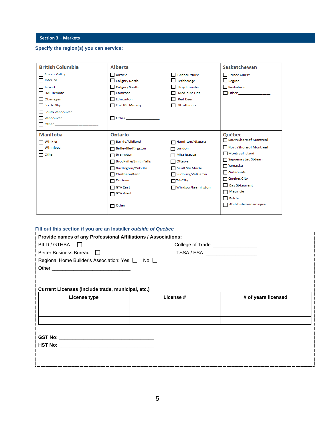**Section 3 – Markets** 

## **Specify the region(s) you can service:**

| <b>British Columbia</b>                                                                                                                                                                                                                                                                                                     | <b>Alberta</b>                                                                                                                                                                                                                      |                                                                                                                                                           | Saskatchewan                                                                                                                                                                                                                  |
|-----------------------------------------------------------------------------------------------------------------------------------------------------------------------------------------------------------------------------------------------------------------------------------------------------------------------------|-------------------------------------------------------------------------------------------------------------------------------------------------------------------------------------------------------------------------------------|-----------------------------------------------------------------------------------------------------------------------------------------------------------|-------------------------------------------------------------------------------------------------------------------------------------------------------------------------------------------------------------------------------|
| Fraser Valley<br>$\Box$ Interior<br>$\Box$ Island                                                                                                                                                                                                                                                                           | Airdrie<br>$\Box$ Calgary North<br>Calgary South                                                                                                                                                                                    | Grand Prairie<br>Lethbridge<br>Lloydminster                                                                                                               | Prince Albert<br>$\Box$ Regina<br>Saskatoon                                                                                                                                                                                   |
| <b>LML</b> Remote<br>$\Box$ Okanagan<br>$\Box$ See to Sky<br>South Vancouver<br>Vancouver<br>Other Dealer and Company and Company and Company and Company and Company and Company and Company and Company and Company and Company and Company and Company and Company and Company and Company and Company and Company and C | Camrose<br>П<br>Edmonton<br>П<br>Fort Mc Murray<br>Other _____________                                                                                                                                                              | Medicine Hat<br><b>Red Deer</b><br>Strathmore                                                                                                             | <b>Other</b> 2006 2016                                                                                                                                                                                                        |
| Manitoba<br>$\blacksquare$ Winkler<br>$\blacksquare$ Winnipeg<br>Other ____________________                                                                                                                                                                                                                                 | <b>Ontario</b><br>Barrie/Midland<br>Belleville/Kingston<br>п<br><b>Brampton</b><br>П<br>Brockville/Smith Falls<br>П<br>Burlington/Oakville<br>П<br>Chatham/Kent<br>П<br>Durham<br>п<br><b>GTA East</b><br>П<br>$\Box$ GTA West<br>П | Hamilton/Niagara<br>$\Box$ London<br>$\Box$ Mississauga<br>$\Box$ Ottawa<br>Sault Ste.Marie<br>Sudbury/Val Caron<br>$\Box$ Tri-City<br>Windsor/Leamington | Québec<br>South Shore of Montreal<br>North Shore of Montreal<br>Montreal Island<br>Saguenay Lac St-Jean<br>$\Box$ Yamaska<br>$\Box$ Outaouais<br>Quebec City<br>Bas St-Laurent<br>Mauricie<br>Estrie<br>Abitibi-Témiscamingue |

## **Fill out this section if you are an Installer** *outside of Quebec*

| Provide names of any Professional Affiliations / Associations: |                                     |                     |  |  |  |
|----------------------------------------------------------------|-------------------------------------|---------------------|--|--|--|
| $BILD/GTHBA$ $\Box$                                            | College of Trade: _________________ |                     |  |  |  |
| Better Business Bureau □                                       | TSSA / ESA: ____________________    |                     |  |  |  |
| Regional Home Builder's Association: Yes □ No □                |                                     |                     |  |  |  |
|                                                                |                                     |                     |  |  |  |
|                                                                |                                     |                     |  |  |  |
|                                                                |                                     |                     |  |  |  |
| Current Licenses (include trade, municipal, etc.)              |                                     |                     |  |  |  |
| License type                                                   | License #                           | # of years licensed |  |  |  |
|                                                                |                                     |                     |  |  |  |
|                                                                |                                     |                     |  |  |  |
|                                                                |                                     |                     |  |  |  |
|                                                                |                                     |                     |  |  |  |
|                                                                |                                     |                     |  |  |  |
|                                                                |                                     |                     |  |  |  |
|                                                                |                                     |                     |  |  |  |
|                                                                |                                     |                     |  |  |  |
|                                                                |                                     |                     |  |  |  |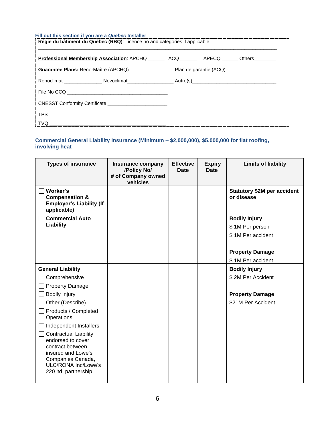## **Fill out this section if you are a** *Quebec* **Installer**

| Régie du bâtiment du Québec (RBQ): Licence no and categories if applicable |  |  |  |  |  |  |
|----------------------------------------------------------------------------|--|--|--|--|--|--|
| <b>Professional Membership Association</b> : APCHQ ACQ APECQ Others        |  |  |  |  |  |  |
|                                                                            |  |  |  |  |  |  |
|                                                                            |  |  |  |  |  |  |
|                                                                            |  |  |  |  |  |  |
| CNESST Conformity Certificate ________________________                     |  |  |  |  |  |  |
|                                                                            |  |  |  |  |  |  |
|                                                                            |  |  |  |  |  |  |

## **Commercial General Liability Insurance (Minimum – \$2,000,000), \$5,000,000 for flat roofing, involving heat**

| <b>Types of insurance</b>                                                                                                                                        | Insurance company<br>/Policy No/<br># of Company owned<br>vehicles | <b>Effective</b><br><b>Date</b> | <b>Expiry</b><br><b>Date</b> | <b>Limits of liability</b>                       |
|------------------------------------------------------------------------------------------------------------------------------------------------------------------|--------------------------------------------------------------------|---------------------------------|------------------------------|--------------------------------------------------|
| Worker's<br><b>Compensation &amp;</b><br><b>Employer's Liability (If</b><br>applicable)                                                                          |                                                                    |                                 |                              | <b>Statutory \$2M per accident</b><br>or disease |
| <b>Commercial Auto</b>                                                                                                                                           |                                                                    |                                 |                              | <b>Bodily Injury</b>                             |
| Liability                                                                                                                                                        |                                                                    |                                 |                              | \$1M Per person                                  |
|                                                                                                                                                                  |                                                                    |                                 |                              | \$1M Per accident                                |
|                                                                                                                                                                  |                                                                    |                                 |                              |                                                  |
|                                                                                                                                                                  |                                                                    |                                 |                              | <b>Property Damage</b>                           |
|                                                                                                                                                                  |                                                                    |                                 |                              | \$1M Per accident                                |
| <b>General Liability</b>                                                                                                                                         |                                                                    |                                 |                              | <b>Bodily Injury</b>                             |
| Comprehensive                                                                                                                                                    |                                                                    |                                 |                              | \$2M Per Accident                                |
| <b>Property Damage</b>                                                                                                                                           |                                                                    |                                 |                              |                                                  |
| <b>Bodily Injury</b>                                                                                                                                             |                                                                    |                                 |                              | <b>Property Damage</b>                           |
| Other (Describe)                                                                                                                                                 |                                                                    |                                 |                              | \$21M Per Accident                               |
| Products / Completed<br>Operations                                                                                                                               |                                                                    |                                 |                              |                                                  |
| Independent Installers                                                                                                                                           |                                                                    |                                 |                              |                                                  |
| <b>Contractual Liability</b><br>endorsed to cover<br>contract between<br>insured and Lowe's<br>Companies Canada,<br>ULC/RONA Inc/Lowe's<br>220 Itd. partnership. |                                                                    |                                 |                              |                                                  |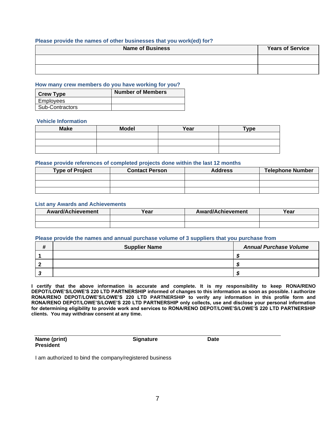## **Please provide the names of other businesses that you work(ed) for?**

| <b>Name of Business</b> | <b>Years of Service</b> |
|-------------------------|-------------------------|
|                         |                         |
|                         |                         |

## **How many crew members do you have working for you?**

| <b>Crew Type</b>       | <b>Number of Members</b> |
|------------------------|--------------------------|
| Employees              |                          |
| <b>Sub-Contractors</b> |                          |

#### **Vehicle Information**

| <b>Make</b> | <b>Model</b> | Year | <b>Type</b> |
|-------------|--------------|------|-------------|
|             |              |      |             |
|             |              |      |             |
|             |              |      |             |

#### **Please provide references of completed projects done within the last 12 months**

| <b>Type of Project</b> | <b>Contact Person</b> | <b>Address</b> | <b>Telephone Number</b> |
|------------------------|-----------------------|----------------|-------------------------|
|                        |                       |                |                         |
|                        |                       |                |                         |
|                        |                       |                |                         |

#### **List any Awards and Achievements**

| <b>Award/Achievement</b> | Year | <b>Award/Achievement</b> | Year |
|--------------------------|------|--------------------------|------|
|                          |      |                          |      |
|                          |      |                          |      |

## **Please provide the names and annual purchase volume of 3 suppliers that you purchase from**

| <b>Supplier Name</b> | <b>Annual Purchase Volume</b> |  |  |
|----------------------|-------------------------------|--|--|
|                      |                               |  |  |
|                      |                               |  |  |
|                      |                               |  |  |

**I certify that the above information is accurate and complete. It is my responsibility to keep RONA/RENO DEPOT/LOWE'S/LOWE'S 220 LTD PARTNERSHIP informed of changes to this information as soon as possible. I authorize RONA/RENO DEPOT/LOWE'S/LOWE'S 220 LTD PARTNERSHIP to verify any information in this profile form and RONA/RENO DEPOT/LOWE'S/LOWE'S 220 LTD PARTNERSHIP only collects, use and disclose your personal information for determining eligibility to provide work and services to RONA/RENO DEPOT/LOWE'S/LOWE'S 220 LTD PARTNERSHIP clients. You may withdraw consent at any time.** 

| Name (print)     |  |
|------------------|--|
| <b>President</b> |  |

**Name (print) Signature Date**

I am authorized to bind the company/registered business